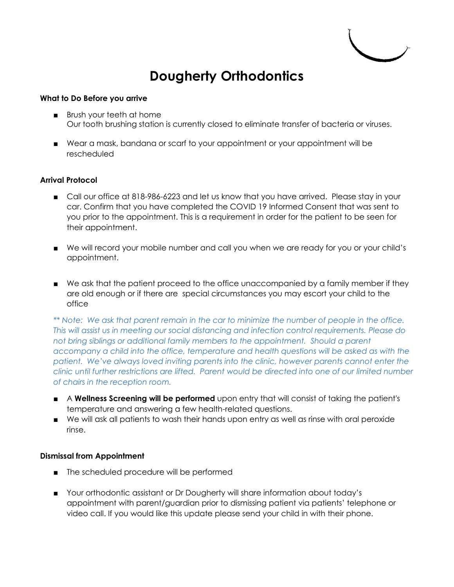

## **Dougherty Orthodontics**

## **What to Do Before you arrive**

- Brush your teeth at home Our tooth brushing station is currently closed to eliminate transfer of bacteria or viruses.
- Wear a mask, bandana or scarf to your appointment or your appointment will be rescheduled

## **Arrival Protocol**

- Call our office at 818-986-6223 and let us know that you have arrived. Please stay in your car. Confirm that you have completed the COVID 19 Informed Consent that was sent to you prior to the appointment. This is a requirement in order for the patient to be seen for their appointment.
- We will record your mobile number and call you when we are ready for you or your child's appointment.
- We ask that the patient proceed to the office unaccompanied by a family member if they are old enough or if there are special circumstances you may escort your child to the office

*\*\* Note: We ask that parent remain in the car to minimize the number of people in the office. This will assist us in meeting our social distancing and infection control requirements. Please do not bring siblings or additional family members to the appointment. Should a parent accompany a child into the office, temperature and health questions will be asked as with the patient. We've always loved inviting parents into the clinic, however parents cannot enter the clinic until further restrictions are lifted. Parent would be directed into one of our limited number of chairs in the reception room.*

- A **Wellness Screening will be performed** upon entry that will consist of taking the patient's temperature and answering a few health-related questions.
- We will ask all patients to wash their hands upon entry as well as rinse with oral peroxide rinse.

## **Dismissal from Appointment**

- The scheduled procedure will be performed
- Your orthodontic assistant or Dr Dougherty will share information about today's appointment with parent/guardian prior to dismissing patient via patients' telephone or video call. If you would like this update please send your child in with their phone.